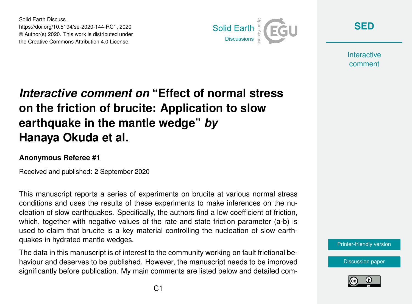Solid Earth Discuss., https://doi.org/10.5194/se-2020-144-RC1, 2020 © Author(s) 2020. This work is distributed under the Creative Commons Attribution 4.0 License.



**[SED](https://se.copernicus.org/preprints/)**

**Interactive** comment

## *Interactive comment on* **"Effect of normal stress on the friction of brucite: Application to slow earthquake in the mantle wedge"** *by* **Hanaya Okuda et al.**

## **Anonymous Referee #1**

Received and published: 2 September 2020

This manuscript reports a series of experiments on brucite at various normal stress conditions and uses the results of these experiments to make inferences on the nucleation of slow earthquakes. Specifically, the authors find a low coefficient of friction, which, together with negative values of the rate and state friction parameter (a-b) is used to claim that brucite is a key material controlling the nucleation of slow earthquakes in hydrated mantle wedges.

The data in this manuscript is of interest to the community working on fault frictional behaviour and deserves to be published. However, the manuscript needs to be improved significantly before publication. My main comments are listed below and detailed com-



[Discussion paper](https://se.copernicus.org/preprints/se-2020-144)